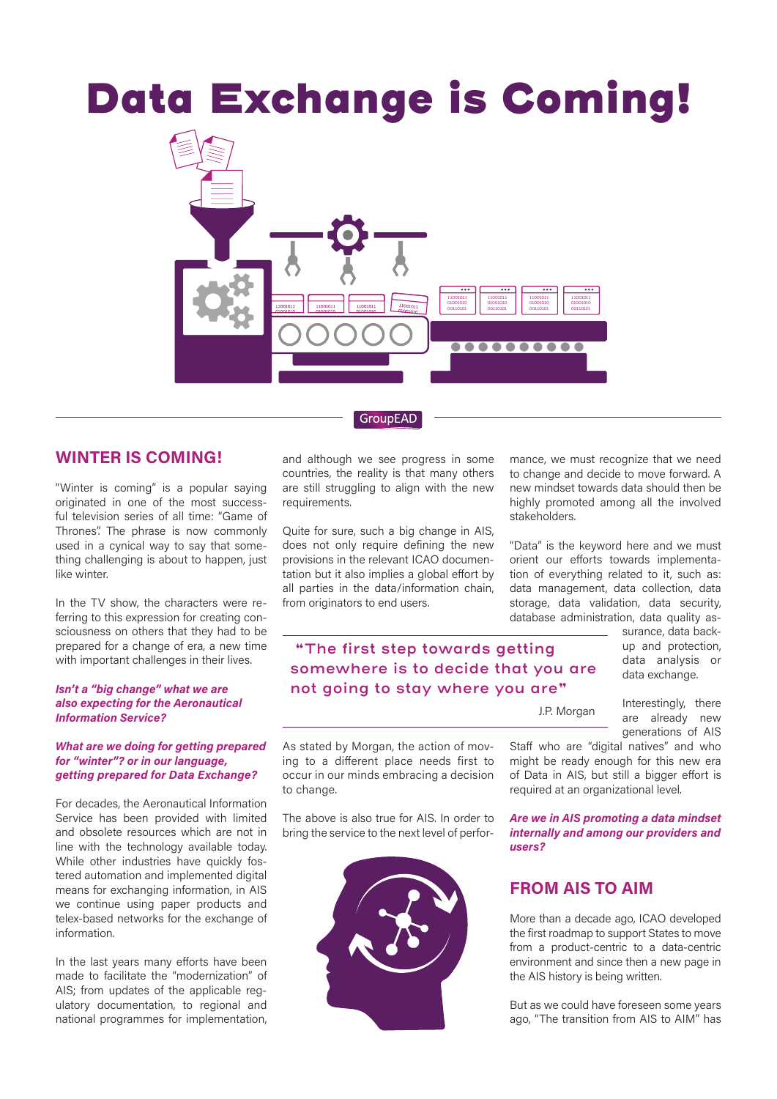# Data Exchange is Coming!



## **GroupEAD**

# **WINTER IS COMING!**

"Winter is coming" is a popular saying originated in one of the most successful television series of all time: "Game of Thrones". The phrase is now commonly used in a cynical way to say that something challenging is about to happen, just like winter.

In the TV show, the characters were referring to this expression for creating consciousness on others that they had to be prepared for a change of era, a new time with important challenges in their lives.

## *Isn't a "big change" what we are also expecting for the Aeronautical Information Service?*

#### *What are we doing for getting prepared for "winter"? or in our language, getting prepared for Data Exchange?*

For decades, the Aeronautical Information Service has been provided with limited and obsolete resources which are not in line with the technology available today. While other industries have quickly fostered automation and implemented digital means for exchanging information, in AIS we continue using paper products and telex-based networks for the exchange of information.

In the last years many efforts have been made to facilitate the "modernization" of AIS; from updates of the applicable regulatory documentation, to regional and national programmes for implementation,

and although we see progress in some countries, the reality is that many others are still struggling to align with the new requirements.

Quite for sure, such a big change in AIS, does not only require defining the new provisions in the relevant ICAO documentation but it also implies a global effort by all parties in the data/information chain, from originators to end users.

 **"The first step towards getting somewhere is to decide that you are not going to stay where you are"**

mance, we must recognize that we need to change and decide to move forward. A new mindset towards data should then be highly promoted among all the involved stakeholders.

"Data" is the keyword here and we must orient our efforts towards implementation of everything related to it, such as: data management, data collection, data storage, data validation, data security, database administration, data quality as-

> surance, data backup and protection, data analysis or data exchange.

J.P. Morgan

Interestingly, there are already new generations of AIS Staff who are "digital natives" and who

As stated by Morgan, the action of moving to a different place needs first to occur in our minds embracing a decision to change.

The above is also true for AIS. In order to bring the service to the next level of perfor-



*Are we in AIS promoting a data mindset internally and among our providers and users?* 

might be ready enough for this new era of Data in AIS, but still a bigger effort is required at an organizational level.

# **FROM AIS TO AIM**

More than a decade ago, ICAO developed the first roadmap to support States to move from a product-centric to a data-centric environment and since then a new page in the AIS history is being written.

But as we could have foreseen some years ago, "The transition from AIS to AIM" has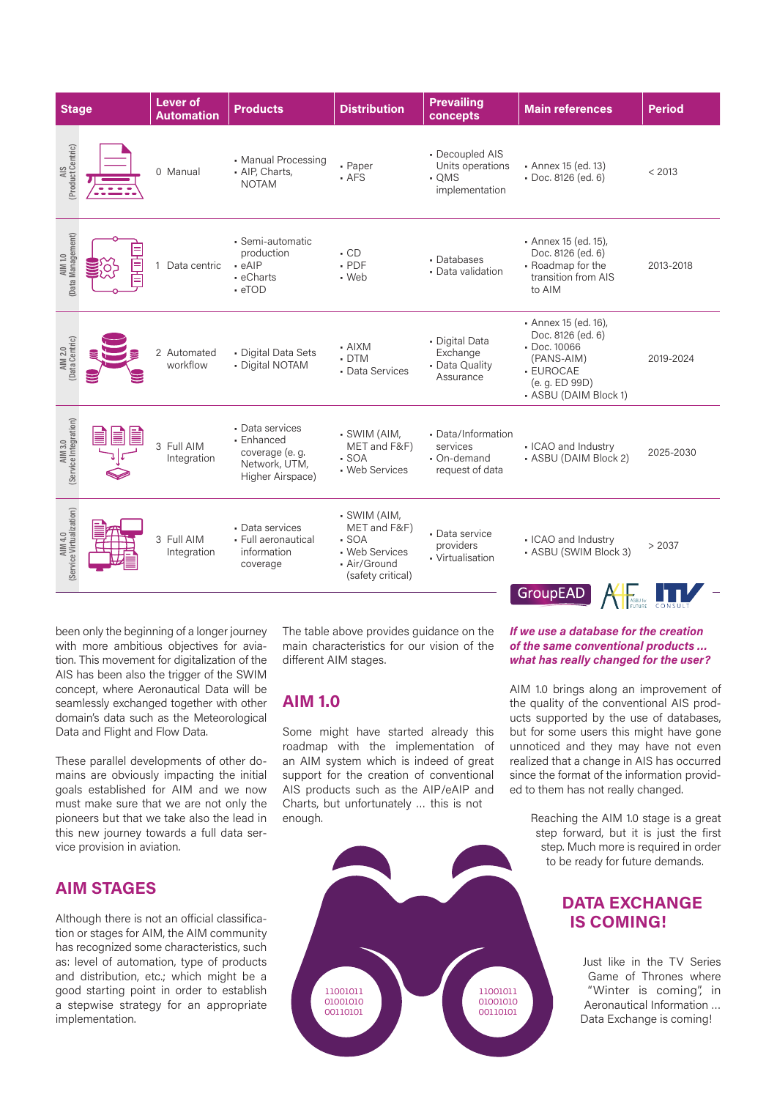| <b>Stage</b>                        |  | <b>Lever of</b><br><b>Automation</b> | <b>Products</b>                                                                       | <b>Distribution</b>                                                                           | <b>Prevailing</b><br>concepts                                    | <b>Main references</b>                                                                                                                | <b>Period</b> |
|-------------------------------------|--|--------------------------------------|---------------------------------------------------------------------------------------|-----------------------------------------------------------------------------------------------|------------------------------------------------------------------|---------------------------------------------------------------------------------------------------------------------------------------|---------------|
| AIS<br>(Product Centric)            |  | 0 Manual                             | • Manual Processing<br>· AIP, Charts,<br><b>NOTAM</b>                                 | - Paper<br>· AFS                                                                              | • Decoupled AIS<br>Units operations<br>• OMS<br>implementation   | • Annex 15 (ed. 13)<br>· Doc. 8126 (ed. 6)                                                                                            | < 2013        |
| AIM 1.0<br>(Data Management)        |  | Data centric                         | • Semi-automatic<br>production<br>$-eAIP$<br>• eCharts<br>$\cdot$ eTOD                | $\cdot$ CD<br>$.$ PDF<br>• Web                                                                | • Databases<br>• Data validation                                 | • Annex 15 (ed. 15),<br>Doc. 8126 (ed. 6)<br>• Roadmap for the<br>transition from AIS<br>to AIM                                       | 2013-2018     |
| AIM 2.0<br>(Data Centric)           |  | 2 Automated<br>workflow              | • Digital Data Sets<br>• Digital NOTAM                                                | - AIXM<br>$\cdot$ DTM<br>• Data Services                                                      | • Digital Data<br>Exchange<br>• Data Quality<br>Assurance        | • Annex 15 (ed. 16),<br>Doc. 8126 (ed. 6)<br>$\cdot$ Doc. 10066<br>(PANS-AIM)<br>- EUROCAE<br>(e. g. ED 99D)<br>• ASBU (DAIM Block 1) | 2019-2024     |
| AIM 3.0<br>(Service Integration)    |  | 3 Full AIM<br>Integration            | • Data services<br>• Enhanced<br>coverage (e. g.<br>Network, UTM,<br>Higher Airspace) | - SWIM (AIM,<br>MET and F&F)<br>$-SOA$<br>• Web Services                                      | • Data/Information<br>services<br>• On-demand<br>request of data | • ICAO and Industry<br>• ASBU (DAIM Block 2)                                                                                          | 2025-2030     |
| AIM 4.0<br>(Service Virtualization) |  | 3 Full AIM<br>Integration            | • Data services<br>• Full aeronautical<br>information<br>coverage                     | - SWIM (AIM,<br>MET and F&F)<br>$-SOA$<br>• Web Services<br>• Air/Ground<br>(safety critical) | • Data service<br>providers<br>• Virtualisation                  | • ICAO and Industry<br>• ASBU (SWIM Block 3)<br><b>GroupEAD</b>                                                                       | > 2037        |
|                                     |  |                                      |                                                                                       |                                                                                               |                                                                  |                                                                                                                                       |               |

been only the beginning of a longer journey with more ambitious objectives for aviation. This movement for digitalization of the AIS has been also the trigger of the SWIM concept, where Aeronautical Data will be seamlessly exchanged together with other domain's data such as the Meteorological Data and Flight and Flow Data.

These parallel developments of other domains are obviously impacting the initial goals established for AIM and we now must make sure that we are not only the pioneers but that we take also the lead in this new journey towards a full data service provision in aviation.

# **AIM STAGES**

Although there is not an official classification or stages for AIM, the AIM community has recognized some characteristics, such as: level of automation, type of products and distribution, etc.; which might be a good starting point in order to establish a stepwise strategy for an appropriate implementation.

The table above provides guidance on the main characteristics for our vision of the different AIM stages.

## **AIM 1.0**

Some might have started already this roadmap with the implementation of an AIM system which is indeed of great support for the creation of conventional AIS products such as the AIP/eAIP and Charts, but unfortunately … this is not enough.



*If we use a database for the creation of the same conventional products … what has really changed for the user?*

AIM 1.0 brings along an improvement of the quality of the conventional AIS products supported by the use of databases, but for some users this might have gone unnoticed and they may have not even realized that a change in AIS has occurred since the format of the information provided to them has not really changed.

> Reaching the AIM 1.0 stage is a great step forward, but it is just the first step. Much more is required in order to be ready for future demands.

# **DATA EXCHANGE IS COMING!**

Just like in the TV Series Game of Thrones where "Winter is coming", in Aeronautical Information … Data Exchange is coming!